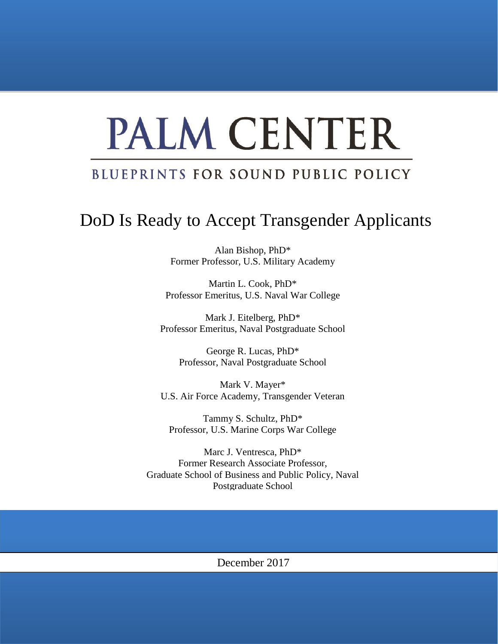# PALM CENTER

### BLUEPRINTS FOR SOUND PUBLIC POLICY

## DoD Is Ready to Accept Transgender Applicants

Alan Bishop, PhD\* Former Professor, U.S. Military Academy

Martin L. Cook, PhD\* Professor Emeritus, U.S. Naval War College

Mark J. Eitelberg, PhD\* Professor Emeritus, Naval Postgraduate School

George R. Lucas, PhD\* Professor, Naval Postgraduate School

Mark V. Mayer\* U.S. Air Force Academy, Transgender Veteran

Tammy S. Schultz, PhD\* Professor, U.S. Marine Corps War College

Marc J. Ventresca, PhD\* Former Research Associate Professor, Graduate School of Business and Public Policy, Naval Postgraduate School

#### December 2017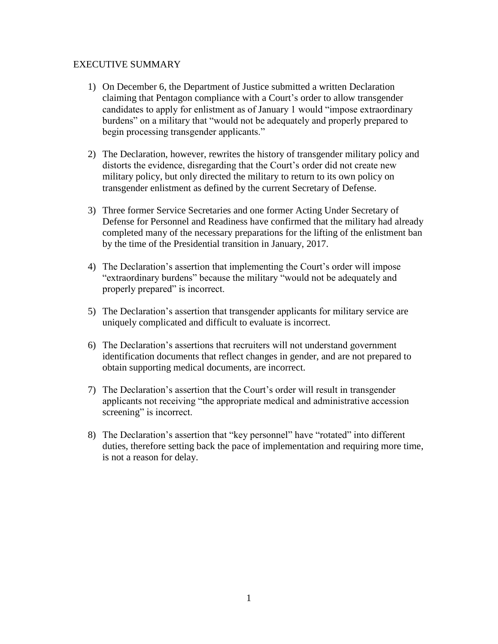#### EXECUTIVE SUMMARY

- 1) On December 6, the Department of Justice submitted a written Declaration claiming that Pentagon compliance with a Court's order to allow transgender candidates to apply for enlistment as of January 1 would "impose extraordinary burdens" on a military that "would not be adequately and properly prepared to begin processing transgender applicants."
- 2) The Declaration, however, rewrites the history of transgender military policy and distorts the evidence, disregarding that the Court's order did not create new military policy, but only directed the military to return to its own policy on transgender enlistment as defined by the current Secretary of Defense.
- 3) Three former Service Secretaries and one former Acting Under Secretary of Defense for Personnel and Readiness have confirmed that the military had already completed many of the necessary preparations for the lifting of the enlistment ban by the time of the Presidential transition in January, 2017.
- 4) The Declaration's assertion that implementing the Court's order will impose "extraordinary burdens" because the military "would not be adequately and properly prepared" is incorrect.
- 5) The Declaration's assertion that transgender applicants for military service are uniquely complicated and difficult to evaluate is incorrect.
- 6) The Declaration's assertions that recruiters will not understand government identification documents that reflect changes in gender, and are not prepared to obtain supporting medical documents, are incorrect.
- 7) The Declaration's assertion that the Court's order will result in transgender applicants not receiving "the appropriate medical and administrative accession screening" is incorrect.
- 8) The Declaration's assertion that "key personnel" have "rotated" into different duties, therefore setting back the pace of implementation and requiring more time, is not a reason for delay.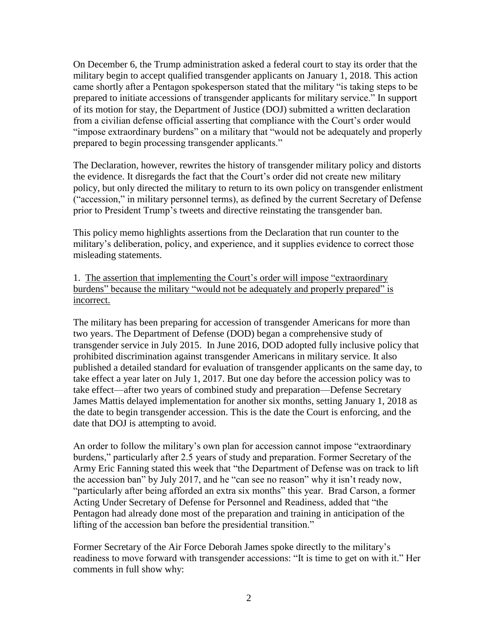On December 6, the Trump administration asked a federal court to stay its order that the military begin to accept qualified transgender applicants on January 1, 2018. This action came shortly after a Pentagon spokesperson stated that the military "is taking steps to be prepared to initiate accessions of transgender applicants for military service." In support of its motion for stay, the Department of Justice (DOJ) submitted a written declaration from a civilian defense official asserting that compliance with the Court's order would "impose extraordinary burdens" on a military that "would not be adequately and properly prepared to begin processing transgender applicants."

The Declaration, however, rewrites the history of transgender military policy and distorts the evidence. It disregards the fact that the Court's order did not create new military policy, but only directed the military to return to its own policy on transgender enlistment ("accession," in military personnel terms), as defined by the current Secretary of Defense prior to President Trump's tweets and directive reinstating the transgender ban.

This policy memo highlights assertions from the Declaration that run counter to the military's deliberation, policy, and experience, and it supplies evidence to correct those misleading statements.

1. The assertion that implementing the Court's order will impose "extraordinary burdens" because the military "would not be adequately and properly prepared" is incorrect.

The military has been preparing for accession of transgender Americans for more than two years. The Department of Defense (DOD) began a comprehensive study of transgender service in July 2015. In June 2016, DOD adopted fully inclusive policy that prohibited discrimination against transgender Americans in military service. It also published a detailed standard for evaluation of transgender applicants on the same day, to take effect a year later on July 1, 2017. But one day before the accession policy was to take effect—after two years of combined study and preparation—Defense Secretary James Mattis delayed implementation for another six months, setting January 1, 2018 as the date to begin transgender accession. This is the date the Court is enforcing, and the date that DOJ is attempting to avoid.

An order to follow the military's own plan for accession cannot impose "extraordinary burdens," particularly after 2.5 years of study and preparation. Former Secretary of the Army Eric Fanning stated this week that "the Department of Defense was on track to lift the accession ban" by July 2017, and he "can see no reason" why it isn't ready now, "particularly after being afforded an extra six months" this year. Brad Carson, a former Acting Under Secretary of Defense for Personnel and Readiness, added that "the Pentagon had already done most of the preparation and training in anticipation of the lifting of the accession ban before the presidential transition."

Former Secretary of the Air Force Deborah James spoke directly to the military's readiness to move forward with transgender accessions: "It is time to get on with it." Her comments in full show why: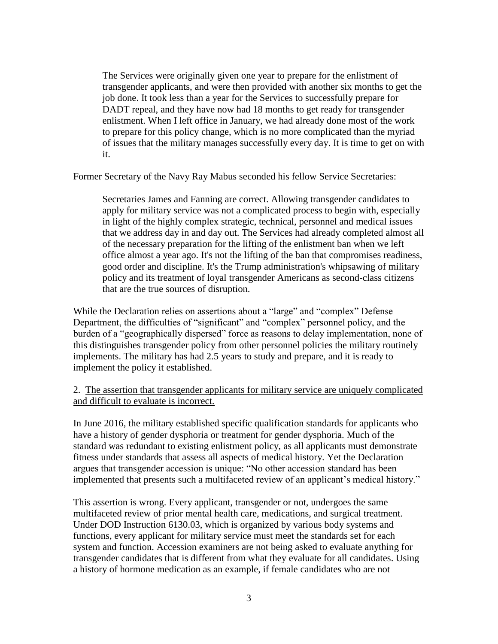The Services were originally given one year to prepare for the enlistment of transgender applicants, and were then provided with another six months to get the job done. It took less than a year for the Services to successfully prepare for DADT repeal, and they have now had 18 months to get ready for transgender enlistment. When I left office in January, we had already done most of the work to prepare for this policy change, which is no more complicated than the myriad of issues that the military manages successfully every day. It is time to get on with it.

Former Secretary of the Navy Ray Mabus seconded his fellow Service Secretaries:

Secretaries James and Fanning are correct. Allowing transgender candidates to apply for military service was not a complicated process to begin with, especially in light of the highly complex strategic, technical, personnel and medical issues that we address day in and day out. The Services had already completed almost all of the necessary preparation for the lifting of the enlistment ban when we left office almost a year ago. It's not the lifting of the ban that compromises readiness, good order and discipline. It's the Trump administration's whipsawing of military policy and its treatment of loyal transgender Americans as second-class citizens that are the true sources of disruption.

While the Declaration relies on assertions about a "large" and "complex" Defense Department, the difficulties of "significant" and "complex" personnel policy, and the burden of a "geographically dispersed" force as reasons to delay implementation, none of this distinguishes transgender policy from other personnel policies the military routinely implements. The military has had 2.5 years to study and prepare, and it is ready to implement the policy it established.

#### 2. The assertion that transgender applicants for military service are uniquely complicated and difficult to evaluate is incorrect.

In June 2016, the military established specific qualification standards for applicants who have a history of gender dysphoria or treatment for gender dysphoria. Much of the standard was redundant to existing enlistment policy, as all applicants must demonstrate fitness under standards that assess all aspects of medical history. Yet the Declaration argues that transgender accession is unique: "No other accession standard has been implemented that presents such a multifaceted review of an applicant's medical history."

This assertion is wrong. Every applicant, transgender or not, undergoes the same multifaceted review of prior mental health care, medications, and surgical treatment. Under DOD Instruction 6130.03, which is organized by various body systems and functions, every applicant for military service must meet the standards set for each system and function. Accession examiners are not being asked to evaluate anything for transgender candidates that is different from what they evaluate for all candidates. Using a history of hormone medication as an example, if female candidates who are not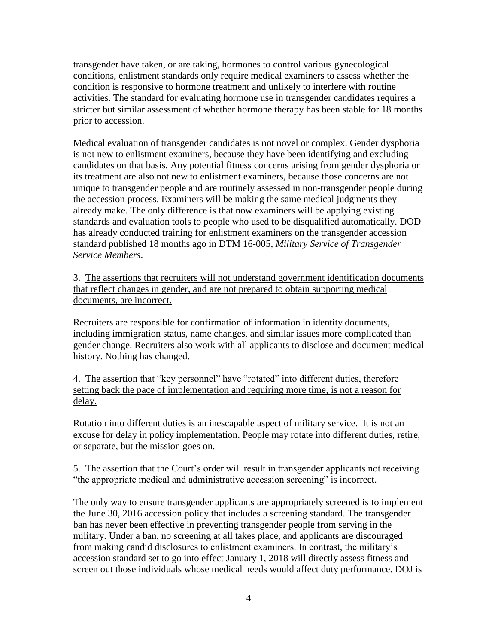transgender have taken, or are taking, hormones to control various gynecological conditions, enlistment standards only require medical examiners to assess whether the condition is responsive to hormone treatment and unlikely to interfere with routine activities. The standard for evaluating hormone use in transgender candidates requires a stricter but similar assessment of whether hormone therapy has been stable for 18 months prior to accession.

Medical evaluation of transgender candidates is not novel or complex. Gender dysphoria is not new to enlistment examiners, because they have been identifying and excluding candidates on that basis. Any potential fitness concerns arising from gender dysphoria or its treatment are also not new to enlistment examiners, because those concerns are not unique to transgender people and are routinely assessed in non-transgender people during the accession process. Examiners will be making the same medical judgments they already make. The only difference is that now examiners will be applying existing standards and evaluation tools to people who used to be disqualified automatically. DOD has already conducted training for enlistment examiners on the transgender accession standard published 18 months ago in DTM 16-005, *Military Service of Transgender Service Members*.

3. The assertions that recruiters will not understand government identification documents that reflect changes in gender, and are not prepared to obtain supporting medical documents, are incorrect.

Recruiters are responsible for confirmation of information in identity documents, including immigration status, name changes, and similar issues more complicated than gender change. Recruiters also work with all applicants to disclose and document medical history. Nothing has changed.

4. The assertion that "key personnel" have "rotated" into different duties, therefore setting back the pace of implementation and requiring more time, is not a reason for delay.

Rotation into different duties is an inescapable aspect of military service. It is not an excuse for delay in policy implementation. People may rotate into different duties, retire, or separate, but the mission goes on.

#### 5. The assertion that the Court's order will result in transgender applicants not receiving "the appropriate medical and administrative accession screening" is incorrect.

The only way to ensure transgender applicants are appropriately screened is to implement the June 30, 2016 accession policy that includes a screening standard. The transgender ban has never been effective in preventing transgender people from serving in the military. Under a ban, no screening at all takes place, and applicants are discouraged from making candid disclosures to enlistment examiners. In contrast, the military's accession standard set to go into effect January 1, 2018 will directly assess fitness and screen out those individuals whose medical needs would affect duty performance. DOJ is